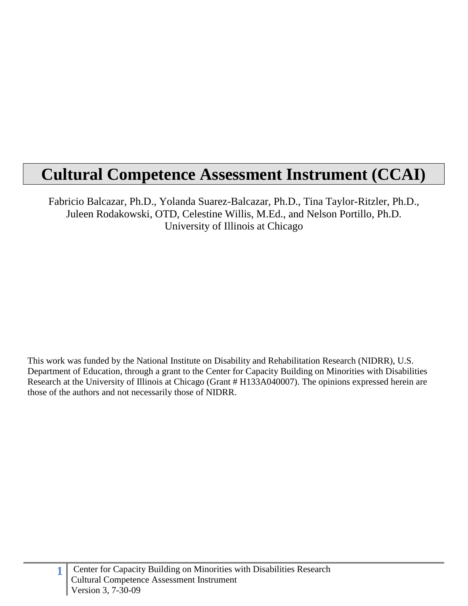# **Cultural Competence Assessment Instrument (CCAI)**

Fabricio Balcazar, Ph.D., Yolanda Suarez-Balcazar, Ph.D., Tina Taylor-Ritzler, Ph.D., Juleen Rodakowski, OTD, Celestine Willis, M.Ed., and Nelson Portillo, Ph.D. University of Illinois at Chicago

This work was funded by the National Institute on Disability and Rehabilitation Research (NIDRR), U.S. Department of Education, through a grant to the Center for Capacity Building on Minorities with Disabilities Research at the University of Illinois at Chicago (Grant # H133A040007). The opinions expressed herein are those of the authors and not necessarily those of NIDRR.

**1**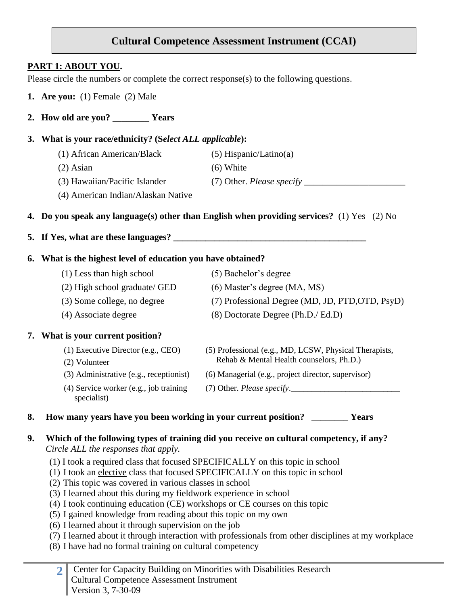# **Cultural Competence Assessment Instrument (CCAI)**

# **PART 1: ABOUT YOU.**

Please circle the numbers or complete the correct response(s) to the following questions.

- **1. Are you:** (1) Female (2) Male
- **2. How old are you?** \_\_\_\_\_\_\_\_ **Years**

#### **3. What is your race/ethnicity? (S***elect ALL applicable***):**

- (1) African American/Black (5) Hispanic/Latino(a)
- (2) Asian (6) White

- (3) Hawaiian/Pacific Islander (7) Other. *Please specify* 
	-
- (4) American Indian/Alaskan Native

## **4. Do you speak any language(s) other than English when providing services?** (1) Yes (2) No

## **5.** If Yes, what are these languages?

## **6. What is the highest level of education you have obtained?**

- (1) Less than high school (5) Bachelor's degree
- (2) High school graduate/ GED (6) Master's degree (MA, MS)
- 
- 
- (3) Some college, no degree (7) Professional Degree (MD, JD, PTD,OTD, PsyD)

(5) Professional (e.g., MD, LCSW, Physical Therapists, Rehab & Mental Health counselors, Ph.D.)

(4) Associate degree (8) Doctorate Degree (Ph.D./ Ed.D)

## **7. What is your current position?**

- (1) Executive Director (e.g., CEO)
- (2) Volunteer
- (3) Administrative (e.g., receptionist) (6) Managerial (e.g., project director, supervisor)
	- $(7)$  Other. *Please specify*.
- (4) Service worker (e.g., job training specialist)
- **8. How many years have you been working in your current position?** \_\_\_\_\_\_\_\_ **Years**

## **9. Which of the following types of training did you receive on cultural competency, if any?**  *Circle ALL the responses that apply.*

- (1) I took a required class that focused SPECIFICALLY on this topic in school
- (1) I took an elective class that focused SPECIFICALLY on this topic in school
- (2) This topic was covered in various classes in school
- (3) I learned about this during my fieldwork experience in school
- (4) I took continuing education (CE) workshops or CE courses on this topic
- (5) I gained knowledge from reading about this topic on my own
- (6) I learned about it through supervision on the job
- (7) I learned about it through interaction with professionals from other disciplines at my workplace
- (8) I have had no formal training on cultural competency
	- **2** Center for Capacity Building on Minorities with Disabilities Research Cultural Competence Assessment Instrument Version 3, 7-30-09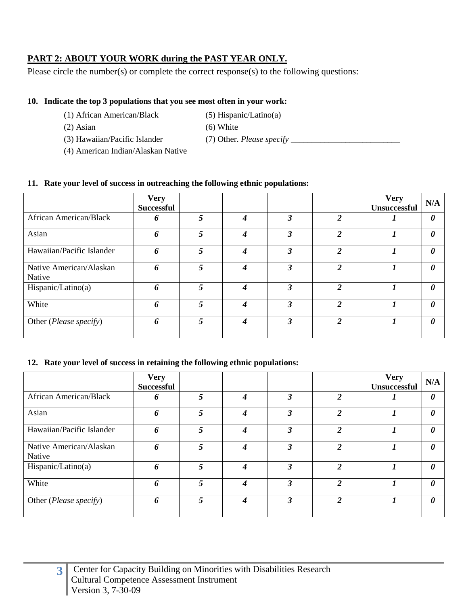# **PART 2: ABOUT YOUR WORK during the PAST YEAR ONLY.**

Please circle the number(s) or complete the correct response(s) to the following questions:

#### **10. Indicate the top 3 populations that you see most often in your work:**

- (1) African American/Black (5) Hispanic/Latino(a)
- (2) Asian (6) White
- 
- (3) Hawaiian/Pacific Islander (7) Other. *Please specify* \_\_\_\_\_\_\_\_\_\_\_\_\_\_\_\_\_\_\_\_\_\_\_\_\_\_
- (4) American Indian/Alaskan Native

#### **11. Rate your level of success in outreaching the following ethnic populations:**

|                                   | <b>Very</b><br><b>Successful</b> |   |   |   |                | <b>Very</b><br>Unsuccessful | N/A                   |
|-----------------------------------|----------------------------------|---|---|---|----------------|-----------------------------|-----------------------|
| <b>African American/Black</b>     | 6                                | 5 | 4 | 3 | $\overline{2}$ |                             | 0                     |
| Asian                             | 6                                | 5 | 4 | 3 | $\overline{2}$ |                             | $\theta$              |
| Hawaiian/Pacific Islander         | 6                                | 5 | 4 | 3 | 2              |                             | $\boldsymbol{\theta}$ |
| Native American/Alaskan<br>Native | 6                                | 5 | 4 | 3 | $\mathfrak{D}$ | 1                           | 0                     |
| Hispanic/Latino(a)                | 6                                | 5 | Δ | 3 | $\overline{2}$ |                             | $\boldsymbol{\theta}$ |
| White                             | 6                                | 5 | 4 | 3 | $\overline{2}$ |                             | $\theta$              |
| Other (Please specify)            | 6                                | 5 | 4 | 3 | $\mathfrak{D}$ | 7                           | $\theta$              |

#### **12. Rate your level of success in retaining the following ethnic populations:**

|                                   | <b>Very</b><br><b>Successful</b> |   |   |   |                | <b>Very</b><br><b>Unsuccessful</b> | N/A                   |
|-----------------------------------|----------------------------------|---|---|---|----------------|------------------------------------|-----------------------|
| <b>African American/Black</b>     | 6                                | 5 | 4 | 3 | $\overline{c}$ |                                    | $\boldsymbol{\theta}$ |
| Asian                             | 6                                | 5 | 4 | 3 | $\overline{c}$ |                                    | $\boldsymbol{\theta}$ |
| Hawaiian/Pacific Islander         | 6                                | 5 | 4 | 3 | 2              |                                    | $\boldsymbol{\theta}$ |
| Native American/Alaskan<br>Native | 6                                | 5 | 4 | 3 | $\overline{2}$ |                                    | $\boldsymbol{\theta}$ |
| Hispanic/Latino(a)                | 6                                | 5 | 4 | 3 | $\overline{c}$ |                                    | $\boldsymbol{\theta}$ |
| White                             | 6                                | 5 | 4 | 3 | $\overline{c}$ |                                    | $\theta$              |
| Other (Please specify)            | 6                                | 5 | 4 | 3 | $\overline{2}$ | 1                                  | $\boldsymbol{\theta}$ |